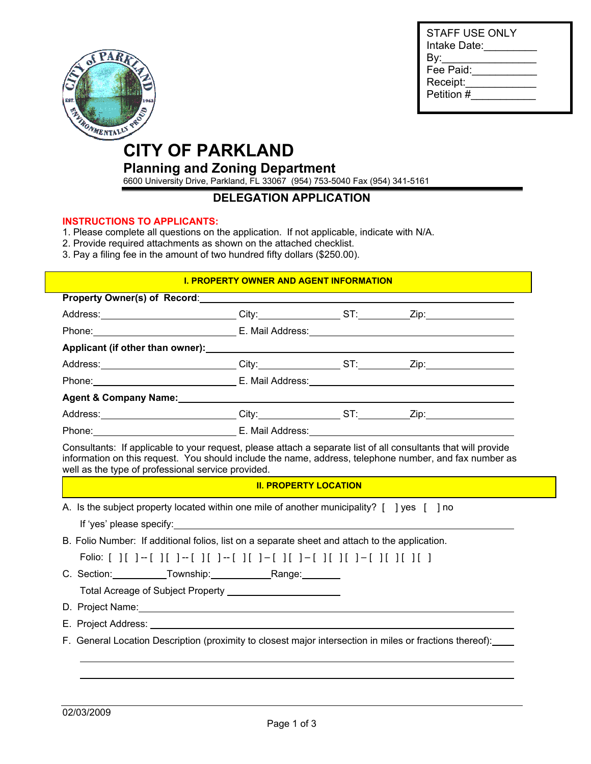

| STAFF USE ONLY<br>Intake Date: |
|--------------------------------|
| By:                            |
| Fee Paid:                      |
| Receipt:                       |
| Petition #                     |
|                                |

# **CITY OF PARKLAND**

#### **Planning and Zoning Department**

6600 University Drive, Parkland, FL 33067 (954) 753-5040 Fax (954) 341-5161

#### **DELEGATION APPLICATION**

#### **INSTRUCTIONS TO APPLICANTS:**

- 1. Please complete all questions on the application. If not applicable, indicate with N/A.
- 2. Provide required attachments as shown on the attached checklist.
- 3. Pay a filing fee in the amount of two hundred fifty dollars (\$250.00).

#### **I. PROPERTY OWNER AND AGENT INFORMATION**

| Property Owner(s) of Record: |                                                    |                                                                                                                                                                                                                                                                                                                                                                                                                                                                                                                                                                                                                                                                                                                                                                                                                                                                                                                                                                                                                                                                                                                                                                                                                                                                                                                                                                                                                                                                                                                                                                                                                                                                                                                                                                                                                                                                                                                                                      |
|------------------------------|----------------------------------------------------|------------------------------------------------------------------------------------------------------------------------------------------------------------------------------------------------------------------------------------------------------------------------------------------------------------------------------------------------------------------------------------------------------------------------------------------------------------------------------------------------------------------------------------------------------------------------------------------------------------------------------------------------------------------------------------------------------------------------------------------------------------------------------------------------------------------------------------------------------------------------------------------------------------------------------------------------------------------------------------------------------------------------------------------------------------------------------------------------------------------------------------------------------------------------------------------------------------------------------------------------------------------------------------------------------------------------------------------------------------------------------------------------------------------------------------------------------------------------------------------------------------------------------------------------------------------------------------------------------------------------------------------------------------------------------------------------------------------------------------------------------------------------------------------------------------------------------------------------------------------------------------------------------------------------------------------------------|
|                              |                                                    |                                                                                                                                                                                                                                                                                                                                                                                                                                                                                                                                                                                                                                                                                                                                                                                                                                                                                                                                                                                                                                                                                                                                                                                                                                                                                                                                                                                                                                                                                                                                                                                                                                                                                                                                                                                                                                                                                                                                                      |
|                              |                                                    |                                                                                                                                                                                                                                                                                                                                                                                                                                                                                                                                                                                                                                                                                                                                                                                                                                                                                                                                                                                                                                                                                                                                                                                                                                                                                                                                                                                                                                                                                                                                                                                                                                                                                                                                                                                                                                                                                                                                                      |
|                              |                                                    |                                                                                                                                                                                                                                                                                                                                                                                                                                                                                                                                                                                                                                                                                                                                                                                                                                                                                                                                                                                                                                                                                                                                                                                                                                                                                                                                                                                                                                                                                                                                                                                                                                                                                                                                                                                                                                                                                                                                                      |
|                              |                                                    |                                                                                                                                                                                                                                                                                                                                                                                                                                                                                                                                                                                                                                                                                                                                                                                                                                                                                                                                                                                                                                                                                                                                                                                                                                                                                                                                                                                                                                                                                                                                                                                                                                                                                                                                                                                                                                                                                                                                                      |
|                              |                                                    |                                                                                                                                                                                                                                                                                                                                                                                                                                                                                                                                                                                                                                                                                                                                                                                                                                                                                                                                                                                                                                                                                                                                                                                                                                                                                                                                                                                                                                                                                                                                                                                                                                                                                                                                                                                                                                                                                                                                                      |
|                              |                                                    |                                                                                                                                                                                                                                                                                                                                                                                                                                                                                                                                                                                                                                                                                                                                                                                                                                                                                                                                                                                                                                                                                                                                                                                                                                                                                                                                                                                                                                                                                                                                                                                                                                                                                                                                                                                                                                                                                                                                                      |
|                              |                                                    |                                                                                                                                                                                                                                                                                                                                                                                                                                                                                                                                                                                                                                                                                                                                                                                                                                                                                                                                                                                                                                                                                                                                                                                                                                                                                                                                                                                                                                                                                                                                                                                                                                                                                                                                                                                                                                                                                                                                                      |
|                              |                                                    |                                                                                                                                                                                                                                                                                                                                                                                                                                                                                                                                                                                                                                                                                                                                                                                                                                                                                                                                                                                                                                                                                                                                                                                                                                                                                                                                                                                                                                                                                                                                                                                                                                                                                                                                                                                                                                                                                                                                                      |
|                              |                                                    |                                                                                                                                                                                                                                                                                                                                                                                                                                                                                                                                                                                                                                                                                                                                                                                                                                                                                                                                                                                                                                                                                                                                                                                                                                                                                                                                                                                                                                                                                                                                                                                                                                                                                                                                                                                                                                                                                                                                                      |
|                              |                                                    |                                                                                                                                                                                                                                                                                                                                                                                                                                                                                                                                                                                                                                                                                                                                                                                                                                                                                                                                                                                                                                                                                                                                                                                                                                                                                                                                                                                                                                                                                                                                                                                                                                                                                                                                                                                                                                                                                                                                                      |
|                              |                                                    |                                                                                                                                                                                                                                                                                                                                                                                                                                                                                                                                                                                                                                                                                                                                                                                                                                                                                                                                                                                                                                                                                                                                                                                                                                                                                                                                                                                                                                                                                                                                                                                                                                                                                                                                                                                                                                                                                                                                                      |
|                              |                                                    |                                                                                                                                                                                                                                                                                                                                                                                                                                                                                                                                                                                                                                                                                                                                                                                                                                                                                                                                                                                                                                                                                                                                                                                                                                                                                                                                                                                                                                                                                                                                                                                                                                                                                                                                                                                                                                                                                                                                                      |
|                              |                                                    |                                                                                                                                                                                                                                                                                                                                                                                                                                                                                                                                                                                                                                                                                                                                                                                                                                                                                                                                                                                                                                                                                                                                                                                                                                                                                                                                                                                                                                                                                                                                                                                                                                                                                                                                                                                                                                                                                                                                                      |
|                              |                                                    |                                                                                                                                                                                                                                                                                                                                                                                                                                                                                                                                                                                                                                                                                                                                                                                                                                                                                                                                                                                                                                                                                                                                                                                                                                                                                                                                                                                                                                                                                                                                                                                                                                                                                                                                                                                                                                                                                                                                                      |
|                              |                                                    |                                                                                                                                                                                                                                                                                                                                                                                                                                                                                                                                                                                                                                                                                                                                                                                                                                                                                                                                                                                                                                                                                                                                                                                                                                                                                                                                                                                                                                                                                                                                                                                                                                                                                                                                                                                                                                                                                                                                                      |
|                              |                                                    |                                                                                                                                                                                                                                                                                                                                                                                                                                                                                                                                                                                                                                                                                                                                                                                                                                                                                                                                                                                                                                                                                                                                                                                                                                                                                                                                                                                                                                                                                                                                                                                                                                                                                                                                                                                                                                                                                                                                                      |
|                              |                                                    |                                                                                                                                                                                                                                                                                                                                                                                                                                                                                                                                                                                                                                                                                                                                                                                                                                                                                                                                                                                                                                                                                                                                                                                                                                                                                                                                                                                                                                                                                                                                                                                                                                                                                                                                                                                                                                                                                                                                                      |
|                              |                                                    |                                                                                                                                                                                                                                                                                                                                                                                                                                                                                                                                                                                                                                                                                                                                                                                                                                                                                                                                                                                                                                                                                                                                                                                                                                                                                                                                                                                                                                                                                                                                                                                                                                                                                                                                                                                                                                                                                                                                                      |
|                              |                                                    |                                                                                                                                                                                                                                                                                                                                                                                                                                                                                                                                                                                                                                                                                                                                                                                                                                                                                                                                                                                                                                                                                                                                                                                                                                                                                                                                                                                                                                                                                                                                                                                                                                                                                                                                                                                                                                                                                                                                                      |
|                              |                                                    |                                                                                                                                                                                                                                                                                                                                                                                                                                                                                                                                                                                                                                                                                                                                                                                                                                                                                                                                                                                                                                                                                                                                                                                                                                                                                                                                                                                                                                                                                                                                                                                                                                                                                                                                                                                                                                                                                                                                                      |
|                              |                                                    |                                                                                                                                                                                                                                                                                                                                                                                                                                                                                                                                                                                                                                                                                                                                                                                                                                                                                                                                                                                                                                                                                                                                                                                                                                                                                                                                                                                                                                                                                                                                                                                                                                                                                                                                                                                                                                                                                                                                                      |
|                              | well as the type of professional service provided. | Address: __________________________City:__________________ST:___________Zip:_______________________<br>Phone: Contract Contract Contract Contract Contract Contract Contract Contract Contract Contract Contract Contract Contract Contract Contract Contract Contract Contract Contract Contract Contract Contract Contract Contract<br>Address: __________________________City:__________________ST:___________Zip:_______________________<br>Phone: Contract Contract Contract Contract Contract Contract Contract Contract Contract Contract Contract Contract Contract Contract Contract Contract Contract Contract Contract Contract Contract Contract Contract Contract<br>Address: __________________________City:__________________ST:___________Zip:_______________________<br>Phone: Phone: Phone: Phone: Phone: Phone: Phone: Phone: Phone: Phone: Phone: Phone: Phone: Phone: Phone: Phone: Phone: Phone: Phone: Phone: Phone: Phone: Phone: Phone: Phone: Phone: Phone: Phone: Phone: Phone: Phone: Phone<br>Consultants: If applicable to your request, please attach a separate list of all consultants that will provide<br>information on this request. You should include the name, address, telephone number, and fax number as<br><b>II. PROPERTY LOCATION</b><br>A. Is the subject property located within one mile of another municipality? [ ] yes [ ] no<br>If 'yes' please specify: the state of the state of the state of the state of the state of the state of the state of the state of the state of the state of the state of the state of the state of the state of the state of th<br>B. Folio Number: If additional folios, list on a separate sheet and attach to the application.<br>Folio: [ ][ ]--[ ][ ]--[ ][ ]--[ ][ ]-[ ][ ]-[ ][ ]-[ ][ ]-[ ][ ][ ][ ][<br>C. Section: Township: Range: Range:<br>F. General Location Description (proximity to closest major intersection in miles or fractions thereof): |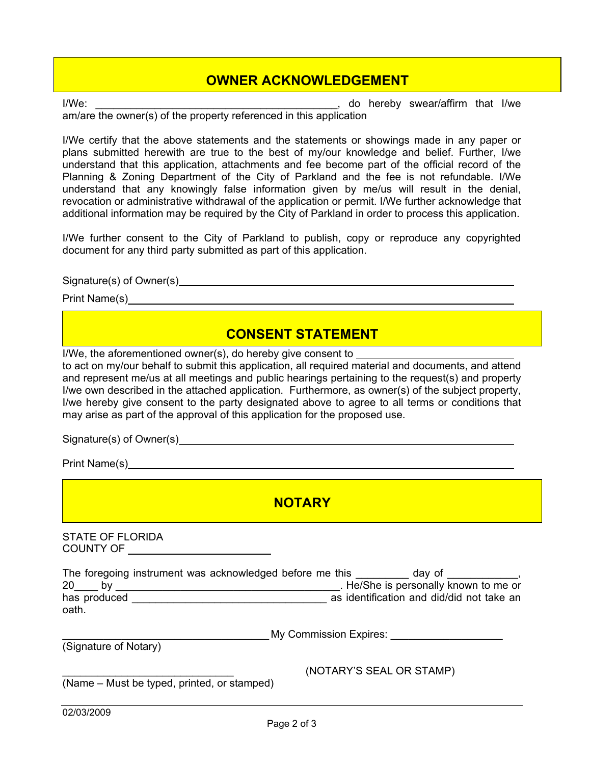## **OWNER ACKNOWLEDGEMENT**

I/We: \_\_\_\_\_\_\_\_\_\_\_\_\_\_\_\_\_\_\_\_\_\_\_\_\_\_\_\_\_\_\_\_\_\_\_\_\_\_\_\_\_, do hereby swear/affirm that I/we

am/are the owner(s) of the property referenced in this application

I/We certify that the above statements and the statements or showings made in any paper or plans submitted herewith are true to the best of my/our knowledge and belief. Further, I/we understand that this application, attachments and fee become part of the official record of the Planning & Zoning Department of the City of Parkland and the fee is not refundable. I/We understand that any knowingly false information given by me/us will result in the denial, revocation or administrative withdrawal of the application or permit. I/We further acknowledge that additional information may be required by the City of Parkland in order to process this application.

I/We further consent to the City of Parkland to publish, copy or reproduce any copyrighted document for any third party submitted as part of this application.

Signature(s) of Owner(s) example and the state of  $S_n$  of  $S_n$  of  $S_n$  of  $S_n$  of  $S_n$  of  $S_n$  of  $S_n$  of  $S_n$  of  $S_n$  or  $S_n$  or  $S_n$  or  $S_n$  or  $S_n$  or  $S_n$  or  $S_n$  or  $S_n$  or  $S_n$  or  $S_n$  or  $S_n$  or  $S_n$  or  $S_n$  or  $S_n$ 

Print Name(s)

### **CONSENT STATEMENT**

I/We, the aforementioned owner(s), do hereby give consent to

to act on my/our behalf to submit this application, all required material and documents, and attend and represent me/us at all meetings and public hearings pertaining to the request(s) and property I/we own described in the attached application. Furthermore, as owner(s) of the subject property, I/we hereby give consent to the party designated above to agree to all terms or conditions that may arise as part of the approval of this application for the proposed use.

Signature(s) of Owner(s)

Print Name(s) example and the set of the set of the set of the set of the set of the set of the set of the set of the set of the set of the set of the set of the set of the set of the set of the set of the set of the set o

### **NOTARY**

STATE OF FLORIDA COUNTY OF

|       |              | The foregoing instrument was acknowledged before me this |  | dav of                                    |  |
|-------|--------------|----------------------------------------------------------|--|-------------------------------------------|--|
| 20    |              |                                                          |  | . He/She is personally known to me or     |  |
|       | has produced |                                                          |  | as identification and did/did not take an |  |
| oath. |              |                                                          |  |                                           |  |

\_\_\_\_\_\_\_\_\_\_\_\_\_\_\_\_\_\_\_\_\_\_\_\_\_\_\_\_\_\_\_\_\_\_\_ My Commission Expires: \_\_\_\_\_\_\_\_\_\_\_\_\_\_\_\_\_\_\_

(Signature of Notary)

\_\_\_\_\_\_\_\_\_\_\_\_\_\_\_\_\_\_\_\_\_\_\_\_\_\_\_\_\_ (NOTARY'S SEAL OR STAMP)

(Name – Must be typed, printed, or stamped)